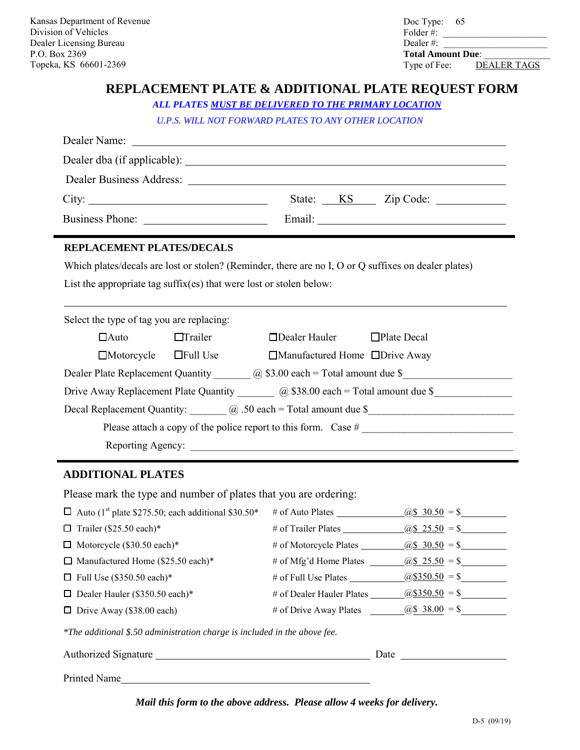.

Doc Type: 65 \_\_\_\_\_\_\_\_\_\_\_\_\_\_\_\_\_\_\_\_\_\_ \_\_\_\_\_\_\_\_\_\_\_\_\_\_\_\_\_\_\_\_\_\_  $\frac{1}{2}$ Folder #: Dealer #: **Total Amount Due**: Type of Fee: DEALER TAGS

## **REPLACEMENT PLATE & ADDITIONAL PLATE REQUEST FORM**

*ALL PLATES MUST BE DELIVERED TO THE PRIMARY LOCATION* 

*U.P.S. WILL NOT FORWARD PLATES TO ANY OTHER LOCATION* 

|                                                                                                          |                                   |                                            | Dealer Business Address: Lawrence and Section 1986. |  |  |  |
|----------------------------------------------------------------------------------------------------------|-----------------------------------|--------------------------------------------|-----------------------------------------------------|--|--|--|
| City:                                                                                                    |                                   |                                            |                                                     |  |  |  |
|                                                                                                          |                                   |                                            | Email: <u>Alexander School (2002)</u>               |  |  |  |
| REPLACEMENT PLATES/DECALS                                                                                |                                   |                                            |                                                     |  |  |  |
| Which plates/decals are lost or stolen? (Reminder, there are no I, O or Q suffixes on dealer plates)     |                                   |                                            |                                                     |  |  |  |
| List the appropriate tag suffix(es) that were lost or stolen below:                                      |                                   |                                            |                                                     |  |  |  |
|                                                                                                          |                                   |                                            |                                                     |  |  |  |
| Select the type of tag you are replacing:                                                                |                                   |                                            |                                                     |  |  |  |
| $\Box$ Auto                                                                                              | $\Box$ Trailer                    | $\Box$ Dealer Hauler $\Box$ Plate Decal    |                                                     |  |  |  |
|                                                                                                          | $\Box$ Motorcycle $\Box$ Full Use | $\Box$ Manufactured Home $\Box$ Drive Away |                                                     |  |  |  |
| Dealer Plate Replacement Quantity $\qquad \qquad \textcircled{a}$ \$3.00 each = Total amount due \$      |                                   |                                            |                                                     |  |  |  |
| Drive Away Replacement Plate Quantity $\qquad \qquad \textcircled{a}$ \$38.00 each = Total amount due \$ |                                   |                                            |                                                     |  |  |  |
| Decal Replacement Quantity: $\qquad \qquad \qquad \textcircled{a}$ .50 each = Total amount due \$        |                                   |                                            |                                                     |  |  |  |
|                                                                                                          |                                   |                                            |                                                     |  |  |  |
|                                                                                                          |                                   |                                            |                                                     |  |  |  |
|                                                                                                          |                                   |                                            |                                                     |  |  |  |

## **ADDITIONAL PLATES**

Please mark the type and number of plates that you are ordering:

| $\Box$ Auto (1 <sup>st</sup> plate \$275.50; each additional \$30.50* | # of Auto Plates          | $\omega$ \$ 30.50 = \$   |
|-----------------------------------------------------------------------|---------------------------|--------------------------|
| $\Box$ Trailer (\$25.50 each)*                                        | # of Trailer Plates       | $\omega$ \$ 25.50 = \$   |
| $\Box$ Motorcycle (\$30.50 each)*                                     | # of Motorcycle Plates    | $\omega$ \$ 30.50 = \$   |
| $\Box$ Manufactured Home (\$25.50 each)*                              | # of Mfg'd Home Plates    | $(a)$ \$ 25.50 = \$      |
| $\Box$ Full Use (\$350.50 each)*                                      | # of Full Use Plates      | $\omega$ \\$350.50 = \\$ |
| $\Box$ Dealer Hauler (\$350.50 each)*                                 | # of Dealer Hauler Plates | $(a)$ \$350.50 = \$      |
| $\Box$ Drive Away (\$38.00 each)                                      | # of Drive Away Plates    | $\omega$ \$ 38.00 = \$   |
|                                                                       |                           |                          |

 *\*The additional \$.50 administration charge is included in the above fee.*

| Authorized Signature | Jate |
|----------------------|------|
|                      |      |

Printed Name

*Mail this form to the above address. Please allow 4 weeks for delivery.*